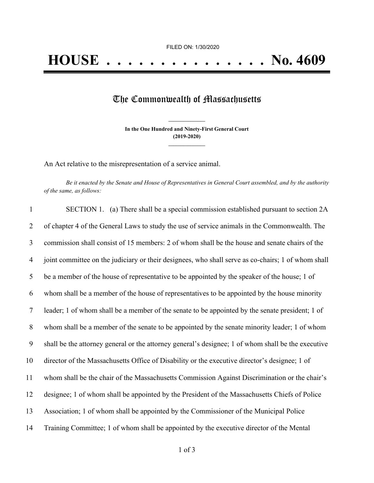## The Commonwealth of Massachusetts

**In the One Hundred and Ninety-First General Court (2019-2020) \_\_\_\_\_\_\_\_\_\_\_\_\_\_\_**

**\_\_\_\_\_\_\_\_\_\_\_\_\_\_\_**

An Act relative to the misrepresentation of a service animal.

Be it enacted by the Senate and House of Representatives in General Court assembled, and by the authority *of the same, as follows:*

| $\mathbf{1}$   | SECTION 1. (a) There shall be a special commission established pursuant to section 2A              |
|----------------|----------------------------------------------------------------------------------------------------|
| 2              | of chapter 4 of the General Laws to study the use of service animals in the Commonwealth. The      |
| 3              | commission shall consist of 15 members: 2 of whom shall be the house and senate chairs of the      |
| $\overline{4}$ | joint committee on the judiciary or their designees, who shall serve as co-chairs; 1 of whom shall |
| 5              | be a member of the house of representative to be appointed by the speaker of the house; 1 of       |
| 6              | whom shall be a member of the house of representatives to be appointed by the house minority       |
| 7              | leader; 1 of whom shall be a member of the senate to be appointed by the senate president; 1 of    |
| 8              | whom shall be a member of the senate to be appointed by the senate minority leader; 1 of whom      |
| 9              | shall be the attorney general or the attorney general's designee; 1 of whom shall be the executive |
| 10             | director of the Massachusetts Office of Disability or the executive director's designee; 1 of      |
| 11             | whom shall be the chair of the Massachusetts Commission Against Discrimination or the chair's      |
| 12             | designee; 1 of whom shall be appointed by the President of the Massachusetts Chiefs of Police      |
| 13             | Association; 1 of whom shall be appointed by the Commissioner of the Municipal Police              |
| 14             | Training Committee; 1 of whom shall be appointed by the executive director of the Mental           |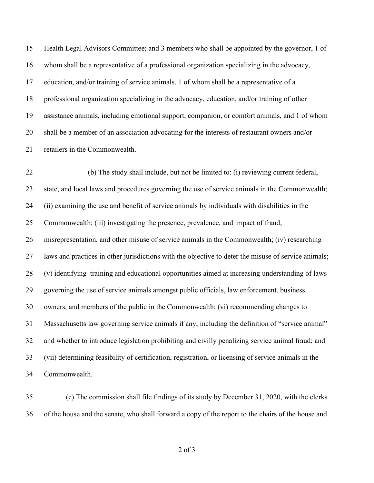Health Legal Advisors Committee; and 3 members who shall be appointed by the governor, 1 of whom shall be a representative of a professional organization specializing in the advocacy, education, and/or training of service animals, 1 of whom shall be a representative of a professional organization specializing in the advocacy, education, and/or training of other assistance animals, including emotional support, companion, or comfort animals, and 1 of whom shall be a member of an association advocating for the interests of restaurant owners and/or retailers in the Commonwealth.

 (b) The study shall include, but not be limited to: (i) reviewing current federal, state, and local laws and procedures governing the use of service animals in the Commonwealth; (ii) examining the use and benefit of service animals by individuals with disabilities in the Commonwealth; (iii) investigating the presence, prevalence, and impact of fraud, misrepresentation, and other misuse of service animals in the Commonwealth; (iv) researching laws and practices in other jurisdictions with the objective to deter the misuse of service animals; (v) identifying training and educational opportunities aimed at increasing understanding of laws governing the use of service animals amongst public officials, law enforcement, business owners, and members of the public in the Commonwealth; (vi) recommending changes to Massachusetts law governing service animals if any, including the definition of "service animal" and whether to introduce legislation prohibiting and civilly penalizing service animal fraud; and (vii) determining feasibility of certification, registration, or licensing of service animals in the Commonwealth.

 (c) The commission shall file findings of its study by December 31, 2020, with the clerks of the house and the senate, who shall forward a copy of the report to the chairs of the house and

of 3